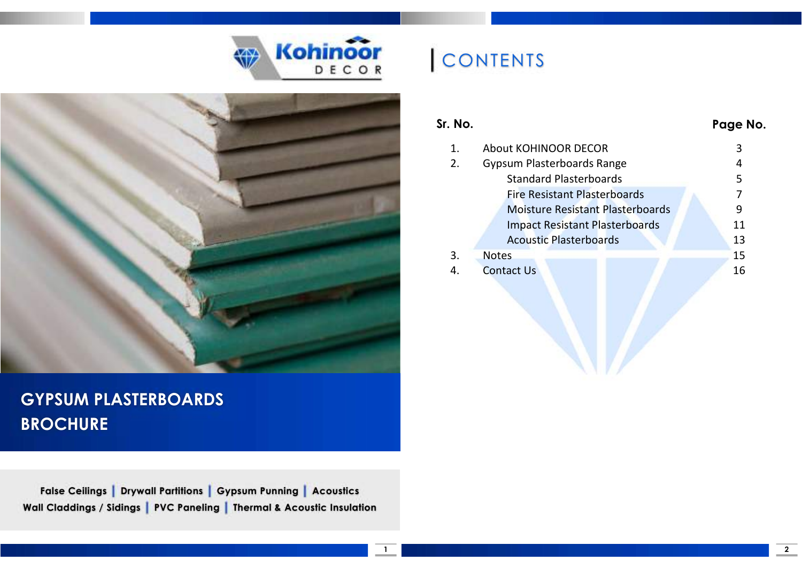



### GYPSUM PLASTERBOARDS **BROCHURE**

False Ceilings | Drywall Partitions | Gypsum Punning | Acoustics Wall Claddings / Sidings | PVC Paneling | Thermal & Acoustic Insulation

# CONTENTS

#### Sr. No. Page No.

|    | <b>About KOHINOOR DECOR</b>             |    |
|----|-----------------------------------------|----|
| 2. | Gypsum Plasterboards Range              |    |
|    | <b>Standard Plasterboards</b>           |    |
|    | <b>Fire Resistant Plasterboards</b>     |    |
|    | <b>Moisture Resistant Plasterboards</b> | 9  |
|    | <b>Impact Resistant Plasterboards</b>   | 11 |
|    | <b>Acoustic Plasterboards</b>           | 13 |
| 3. | <b>Notes</b>                            | 15 |
|    | <b>Contact Us</b>                       | 16 |
|    |                                         |    |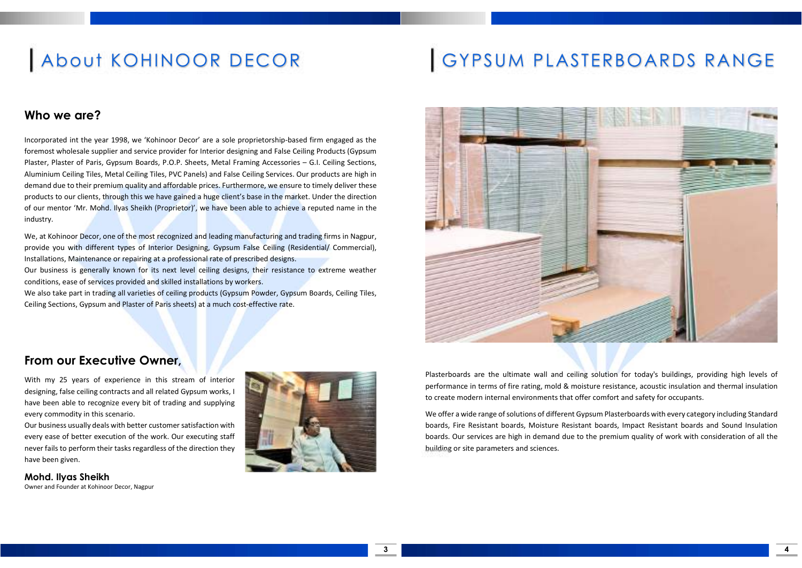## About KOHINOOR DECOR

#### Who we are?

Incorporated int the year 1998, we 'Kohinoor Decor' are a sole proprietorship-based firm engaged as the foremost wholesale supplier and service provider for Interior designing and False Ceiling Products (Gypsum Plaster, Plaster of Paris, Gypsum Boards, P.O.P. Sheets, Metal Framing Accessories – G.I. Ceiling Sections, Aluminium Ceiling Tiles, Metal Ceiling Tiles, PVC Panels) and False Ceiling Services. Our products are high in demand due to their premium quality and affordable prices. Furthermore, we ensure to timely deliver these products to our clients, through this we have gained a huge client's base in the market. Under the direction of our mentor 'Mr. Mohd. Ilyas Sheikh (Proprietor)', we have been able to achieve a reputed name in the industry.

We, at Kohinoor Decor, one of the most recognized and leading manufacturing and trading firms in Nagpur, provide you with different types of Interior Designing, Gypsum False Ceiling (Residential/ Commercial), Installations, Maintenance or repairing at a professional rate of prescribed designs.

Our business is generally known for its next level ceiling designs, their resistance to extreme weather conditions, ease of services provided and skilled installations by workers.

We also take part in trading all varieties of ceiling products (Gypsum Powder, Gypsum Boards, Ceiling Tiles, Ceiling Sections, Gypsum and Plaster of Paris sheets) at a much cost-effective rate.

## GYPSUM PLASTERBOARDS RANGE



#### From our Executive Owner,

With my 25 years of experience in this stream of interior designing, false ceiling contracts and all related Gypsum works, I have been able to recognize every bit of trading and supplying every commodity in this scenario.

Our business usually deals with better customer satisfaction with every ease of better execution of the work. Our executing staff never fails to perform their tasks regardless of the direction they have been given.

Mohd. Ilyas Sheikh Owner and Founder at Kohinoor Decor, Nagpur



Plasterboards are the ultimate wall and ceiling solution for today's buildings, providing high levels of performance in terms of fire rating, mold & moisture resistance, acoustic insulation and thermal insulation to create modern internal environments that offer comfort and safety for occupants.

We offer a wide range of solutions of different Gypsum Plasterboards with every category including Standard boards, Fire Resistant boards, Moisture Resistant boards, Impact Resistant boards and Sound Insulation boards. Our services are high in demand due to the premium quality of work with consideration of all the building or site parameters and sciences.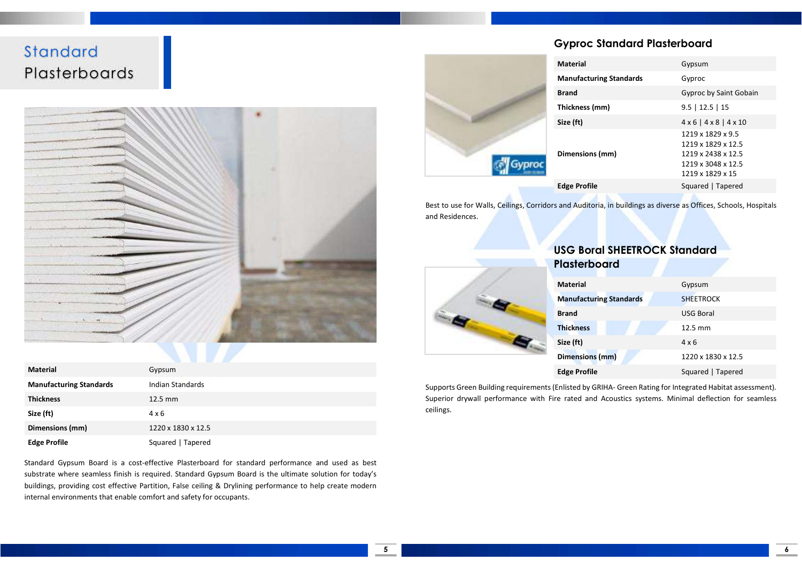### **Standard** Plasterboards



| <b>Material</b>                | Gypsum             |
|--------------------------------|--------------------|
| <b>Manufacturing Standards</b> | Indian Standards   |
| <b>Thickness</b>               | $12.5 \text{ mm}$  |
| Size (ft)                      | $4 \times 6$       |
| Dimensions (mm)                | 1220 x 1830 x 12.5 |
| <b>Edge Profile</b>            | Squared   Tapered  |

Standard Gypsum Board is a cost-effective Plasterboard for standard performance and used as best substrate where seamless finish is required. Standard Gypsum Board is the ultimate solution for today's buildings, providing cost effective Partition, False ceiling & Drylining performance to help create modern internal environments that enable comfort and safety for occupants.

#### Gyproc Standard Plasterboard

| <b>Material</b> |                                | Gypsum                                                        |
|-----------------|--------------------------------|---------------------------------------------------------------|
|                 | <b>Manufacturing Standards</b> | Gyproc                                                        |
|                 | <b>Brand</b>                   | Gyproc by Saint Gobain                                        |
|                 | Thickness (mm)                 | $9.5$   12.5   15                                             |
|                 | Size (ft)                      | $4 \times 6$   $4 \times 8$   $4 \times 10$                   |
|                 | Dimensions (mm)                | 1219 x 1829 x 9.5<br>1219 x 1829 x 12.5<br>1219 x 2438 x 12.5 |
|                 |                                | 1219 x 3048 x 12.5<br>1219 x 1829 x 15                        |
|                 | <b>Edge Profile</b>            | Squared   Tapered                                             |

Best to use for Walls, Ceilings, Corridors and Auditoria, in buildings as diverse as Offices, Schools, Hospitals and Residences.



| <b>Plasterboard</b>            |                    |
|--------------------------------|--------------------|
| <b>Material</b>                | Gypsum             |
| <b>Manufacturing Standards</b> | <b>SHEETROCK</b>   |
| <b>Brand</b>                   | <b>USG Boral</b>   |
| <b>Thickness</b>               | 12.5 mm            |
| Size (ft)                      | $4 \times 6$       |
| <b>Dimensions (mm)</b>         | 1220 x 1830 x 12.5 |
| <b>Edge Profile</b>            | Squared   Tapered  |

USG Boral SHEETROCK Standard

Supports Green Building requirements (Enlisted by GRIHA- Green Rating for Integrated Habitat assessment). Superior drywall performance with Fire rated and Acoustics systems. Minimal deflection for seamless ceilings.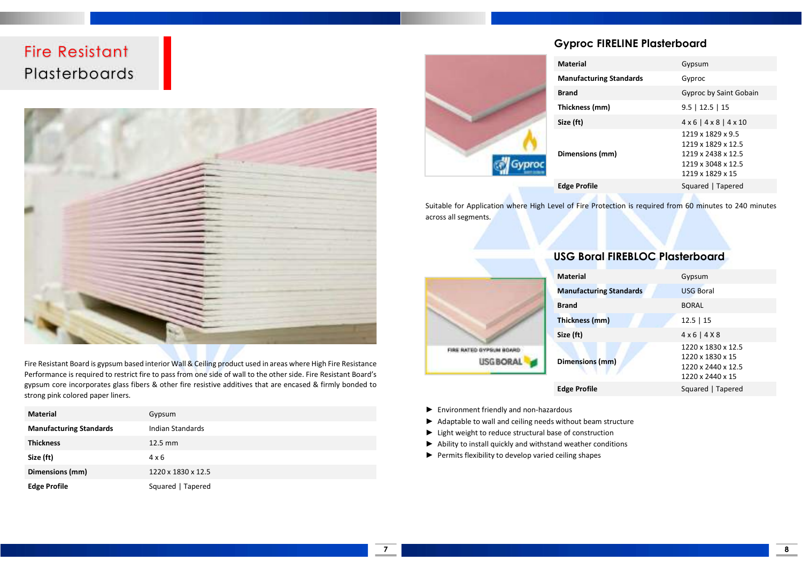### Fire Resistant Plasterboards



Fire Resistant Board is gypsum based interior Wall & Ceiling product used in areas where High Fire Resistance Performance is required to restrict fire to pass from one side of wall to the other side. Fire Resistant Board's gypsum core incorporates glass fibers & other fire resistive additives that are encased & firmly bonded to strong pink colored paper liners.

| <b>Material</b>                | Gypsum             |
|--------------------------------|--------------------|
| <b>Manufacturing Standards</b> | Indian Standards   |
| <b>Thickness</b>               | $12.5 \text{ mm}$  |
| Size (ft)                      | 4 x 6              |
| Dimensions (mm)                | 1220 x 1830 x 12.5 |
| <b>Edge Profile</b>            | Squared   Tapered  |

#### Gyproc FIRELINE Plasterboard

|  | Gyproc |
|--|--------|

| <b>Material</b>                | Gypsum                                                                                                  |
|--------------------------------|---------------------------------------------------------------------------------------------------------|
| <b>Manufacturing Standards</b> | Gyproc                                                                                                  |
| <b>Brand</b>                   | Gyproc by Saint Gobain                                                                                  |
| Thickness (mm)                 | $9.5$   12.5   15                                                                                       |
| Size (ft)                      | $4 \times 6$   $4 \times 8$   $4 \times 10$                                                             |
| Dimensions (mm)                | 1219 x 1829 x 9.5<br>1219 x 1829 x 12.5<br>1219 x 2438 x 12.5<br>1219 x 3048 x 12.5<br>1219 x 1829 x 15 |
| <b>Edge Profile</b>            | Squared   Tapered                                                                                       |
|                                |                                                                                                         |

Suitable for Application where High Level of Fire Protection is required from 60 minutes to 240 minutes across all segments.



- ► Environment friendly and non-hazardous
- ► Adaptable to wall and ceiling needs without beam structure
- ► Light weight to reduce structural base of construction
- ► Ability to install quickly and withstand weather conditions
- ► Permits flexibility to develop varied ceiling shapes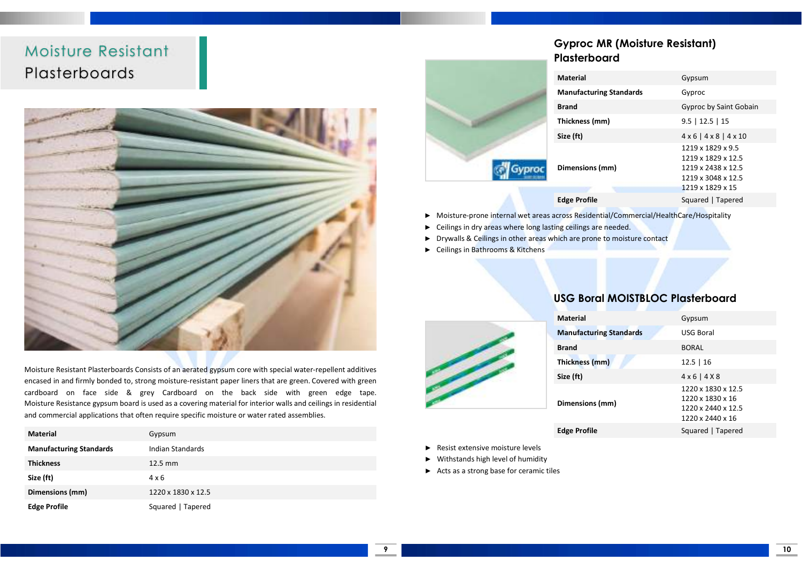### Moisture Resistant Plasterboards



Moisture Resistant Plasterboards Consists of an aerated gypsum core with special water-repellent additives encased in and firmly bonded to, strong moisture-resistant paper liners that are green. Covered with green cardboard on face side & grey Cardboard on the back side with green edge tape. Moisture Resistance gypsum board is used as a covering material for interior walls and ceilings in residential and commercial applications that often require specific moisture or water rated assemblies.

| <b>Material</b>                | Gypsum             |
|--------------------------------|--------------------|
| <b>Manufacturing Standards</b> | Indian Standards   |
| <b>Thickness</b>               | $12.5 \text{ mm}$  |
| Size (ft)                      | $4 \times 6$       |
| Dimensions (mm)                | 1220 x 1830 x 12.5 |
| <b>Edge Profile</b>            | Squared   Tapered  |

#### Gyproc MR (Moisture Resistant) Plasterboard

|  | <b>Material</b>                     | Gypsum                                                                                                  |
|--|-------------------------------------|---------------------------------------------------------------------------------------------------------|
|  | <b>Manufacturing Standards</b>      | Gyproc                                                                                                  |
|  | <b>Brand</b>                        | Gyproc by Saint Gobain                                                                                  |
|  | $9.5$   12.5   15<br>Thickness (mm) |                                                                                                         |
|  | Size (ft)                           | $4 \times 6$   $4 \times 8$   $4 \times 10$                                                             |
|  | Dimensions (mm)                     | 1219 x 1829 x 9.5<br>1219 x 1829 x 12.5<br>1219 x 2438 x 12.5<br>1219 x 3048 x 12.5<br>1219 x 1829 x 15 |
|  | <b>Edge Profile</b>                 | Squared   Tapered                                                                                       |

- ► Moisture-prone internal wet areas across Residential/Commercial/HealthCare/Hospitality
- ► Ceilings in dry areas where long lasting ceilings are needed.
- ► Drywalls & Ceilings in other areas which are prone to moisture contact
- ► Ceilings in Bathrooms & Kitchens

#### USG Boral MOISTBLOC Plasterboard

| <b>Material</b>                | Gypsum                                                                           |
|--------------------------------|----------------------------------------------------------------------------------|
| <b>Manufacturing Standards</b> | <b>USG Boral</b>                                                                 |
| <b>Brand</b>                   | <b>BORAL</b>                                                                     |
| Thickness (mm)                 | $12.5 \mid 16$                                                                   |
| Size (ft)                      | $4 \times 6$   $4 \times 8$                                                      |
| Dimensions (mm)                | 1220 x 1830 x 12.5<br>1220 x 1830 x 16<br>1220 x 2440 x 12.5<br>1220 x 2440 x 16 |
| <b>Edge Profile</b>            | Squared   Tapered                                                                |

- 
- Resist extensive moisture levels
- ► Withstands high level of humidity
- ► Acts as a strong base for ceramic tiles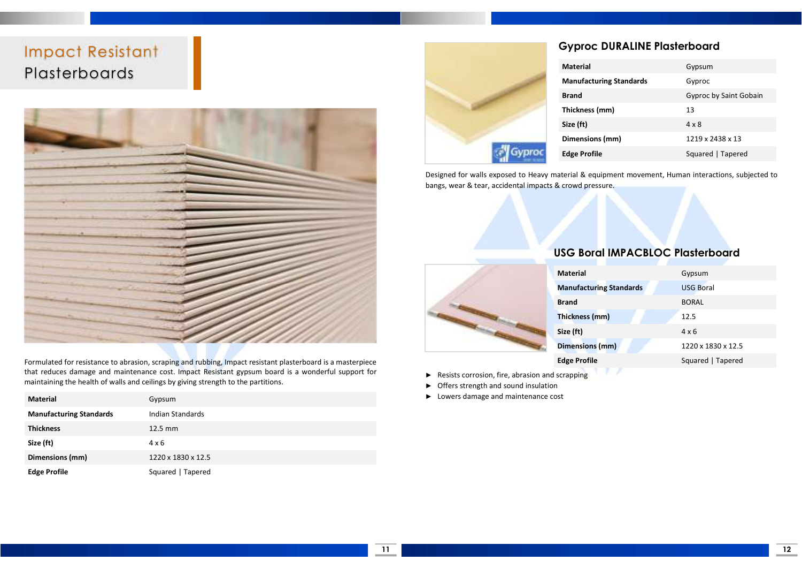### Impact Resistant Plasterboards



Formulated for resistance to abrasion, scraping and rubbing, Impact resistant plasterboard is a masterpiece that reduces damage and maintenance cost. Impact Resistant gypsum board is a wonderful support for maintaining the health of walls and ceilings by giving strength to the partitions.

| <b>Material</b>                | Gypsum             |
|--------------------------------|--------------------|
| <b>Manufacturing Standards</b> | Indian Standards   |
| <b>Thickness</b>               | 12.5 mm            |
| Size (ft)                      | $4 \times 6$       |
| Dimensions (mm)                | 1220 x 1830 x 12.5 |
| <b>Edge Profile</b>            | Squared   Tapered  |



#### Gyproc DURALINE Plasterboard

| <b>Material</b>                | Gypsum                 |
|--------------------------------|------------------------|
| <b>Manufacturing Standards</b> | Gyproc                 |
| <b>Brand</b>                   | Gyproc by Saint Gobain |
| Thickness (mm)                 | 13                     |
| Size (ft)                      | $4 \times 8$           |
| Dimensions (mm)                | 1219 x 2438 x 13       |
| <b>Edge Profile</b>            | Squared   Tapered      |

Designed for walls exposed to Heavy material & equipment movement, Human interactions, subjected to bangs, wear & tear, accidental impacts & crowd pressure.



#### USG Boral IMPACBLOC Plasterboard

| <b>Material</b>                | Gypsum             |
|--------------------------------|--------------------|
| <b>Manufacturing Standards</b> | <b>USG Boral</b>   |
| <b>Brand</b>                   | <b>BORAL</b>       |
| Thickness (mm)                 | 12.5               |
| Size (ft)                      | $4 \times 6$       |
| <b>Dimensions (mm)</b>         | 1220 x 1830 x 12.5 |
| <b>Edge Profile</b>            | Squared   Tapered  |
|                                |                    |

- ► Resists corrosion, fire, abrasion and scrapping
- ► Offers strength and sound insulation
- ► Lowers damage and maintenance cost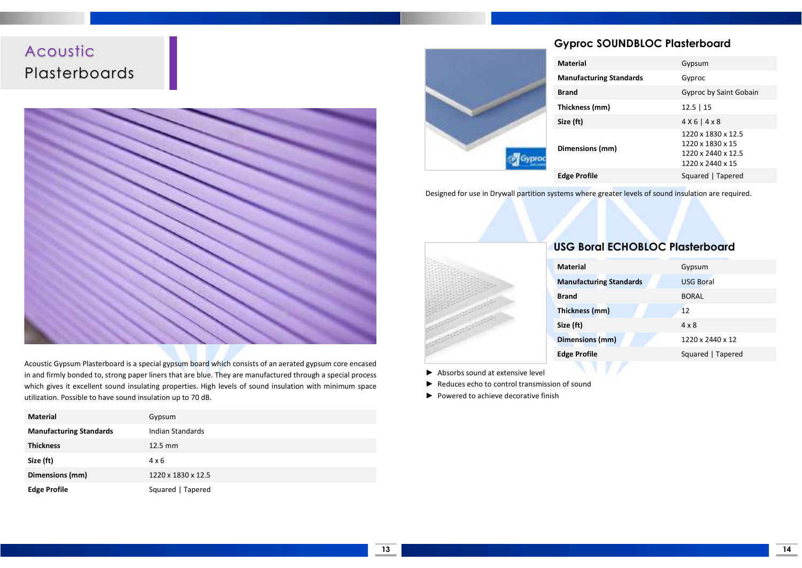### Acoustic Plasterboards



Acoustic Gypsum Plasterboard is a special gypsum board which consists of an aerated gypsum core encased in and firmly bonded to, strong paper liners that are blue. They are manufactured through a special process which gives it excellent sound insulating properties. High levels of sound insulation with minimum space utilization. Possible to have sound insulation up to 70 dB.

| <b>Material</b>                | Gypsum             |
|--------------------------------|--------------------|
| <b>Manufacturing Standards</b> | Indian Standards   |
| <b>Thickness</b>               | 12.5 mm            |
| Size (ft)                      | $4 \times 6$       |
| Dimensions (mm)                | 1220 x 1830 x 12.5 |
| <b>Edge Profile</b>            | Squared   Tapered  |

#### Gyproc SOUNDBLOC Plasterboard

|  | <b>Material</b>                | Gypsum                                                                           |
|--|--------------------------------|----------------------------------------------------------------------------------|
|  | <b>Manufacturing Standards</b> | Gyproc                                                                           |
|  | <b>Brand</b>                   | Gyproc by Saint Gobain                                                           |
|  | Thickness (mm)                 | $12.5$   15                                                                      |
|  | Size (ft)                      | $4X6$   $4X8$                                                                    |
|  | Dimensions (mm)                | 1220 x 1830 x 12.5<br>1220 x 1830 x 15<br>1220 x 2440 x 12.5<br>1220 x 2440 x 15 |
|  | <b>Edge Profile</b>            | Squared   Tapered                                                                |
|  |                                |                                                                                  |

Designed for use in Drywall partition systems where greater levels of sound insulation are required.



#### USG Boral ECHOBLOC Plasterboard

| <b>Material</b>                | Gypsum            |
|--------------------------------|-------------------|
| <b>Manufacturing Standards</b> | <b>USG Boral</b>  |
| <b>Brand</b>                   | <b>BORAL</b>      |
| Thickness (mm)                 | 12                |
| Size (ft)                      | $4 \times 8$      |
| <b>Dimensions (mm)</b>         | 1220 x 2440 x 12  |
| <b>Edge Profile</b>            | Squared   Tapered |
|                                |                   |

- ► Absorbs sound at extensive level
- ► Reduces echo to control transmission of sound
- ► Powered to achieve decorative finish